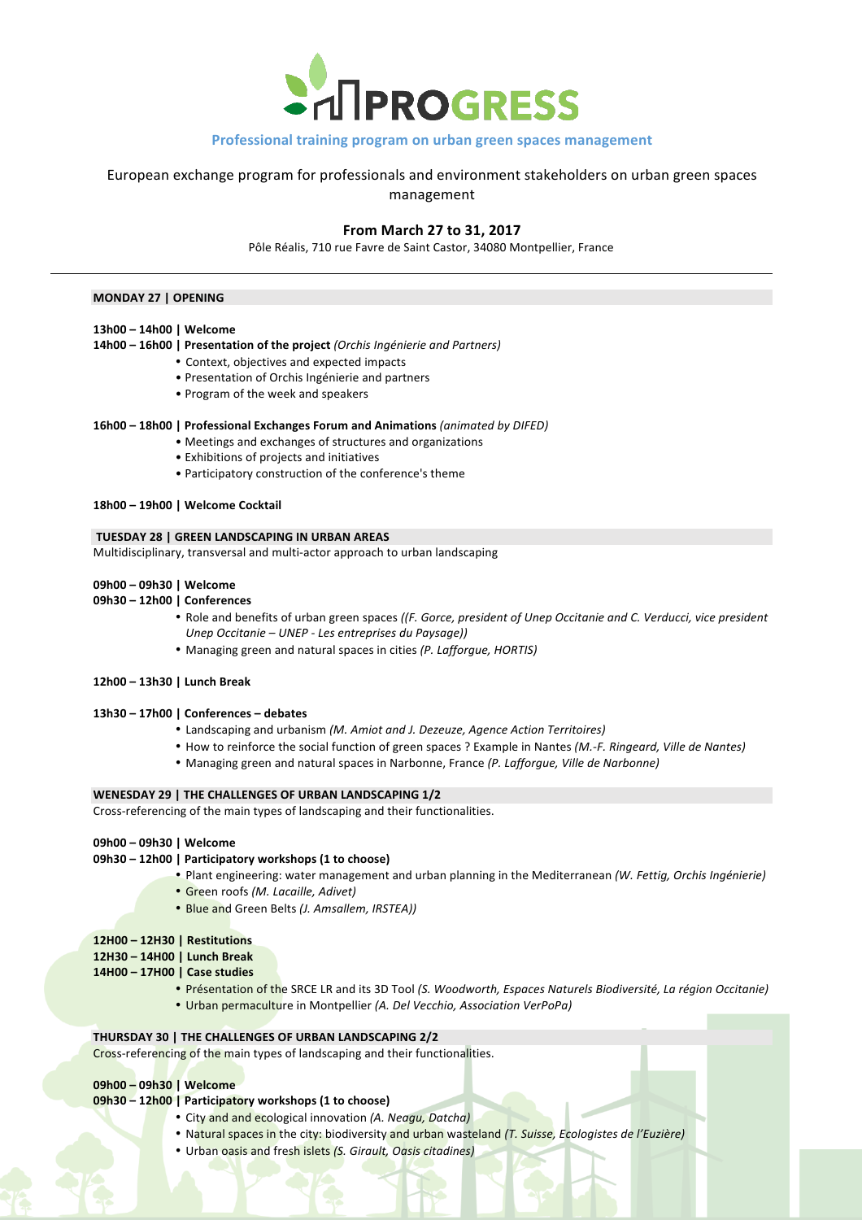

# **Professional training program on urban green spaces management**

European exchange program for professionals and environment stakeholders on urban green spaces management

# **From March 27 to 31, 2017**

Pôle Réalis, 710 rue Favre de Saint Castor, 34080 Montpellier, France

# **MONDAY 27 | OPENING**

- **13h00 – 14h00 | Welcome**
- **14h00 – 16h00 | Presentation of the project** *(Orchis Ingénierie and Partners)*
	- Context, objectives and expected impacts
	- Presentation of Orchis Ingénierie and partners
	- Program of the week and speakers

#### **16h00 - 18h00 | Professional Exchanges Forum and Animations** *(animated by DIFED)*

- Meetings and exchanges of structures and organizations
- Exhibitions of projects and initiatives
- Participatory construction of the conference's theme

#### **18h00 – 19h00 | Welcome Cocktail**

#### **TUESDAY 28 | GREEN LANDSCAPING IN URBAN AREAS**

Multidisciplinary, transversal and multi-actor approach to urban landscaping

- **09h00 – 09h30 | Welcome**
- **09h30 – 12h00 | Conferences**
	- Role and benefits of urban green spaces *((F. Gorce, president of Unep Occitanie and C. Verducci, vice president Unep Occitanie – UNEP - Les entreprises du Paysage))*
	- Managing green and natural spaces in cities (P. Lafforgue, HORTIS)
- **12h00 – 13h30 | Lunch Break**

#### **13h30 – 17h00 | Conferences – debates**

- Landscaping and urbanism (M. Amiot and J. Dezeuze, Agence Action Territoires)
- How to reinforce the social function of green spaces ? Example in Nantes *(M.-F. Ringeard, Ville de Nantes)*
- Managing green and natural spaces in Narbonne, France (P. Lafforgue, Ville de Narbonne)

#### **WENESDAY 29 | THE CHALLENGES OF URBAN LANDSCAPING 1/2**

Cross-referencing of the main types of landscaping and their functionalities.

#### **09h00 – 09h30 | Welcome**

### **09h30 – 12h00 | Participatory workshops (1 to choose)**

- Plant engineering: water management and urban planning in the Mediterranean *(W. Fettig, Orchis Ingénierie)*
- Green roofs *(M. Lacaille, Adivet)*
- Blue and Green Belts *(J. Amsallem, IRSTEA))*

## **12H00 – 12H30 | Restitutions**

- **12H30 – 14H00 | Lunch Break**
- **14H00 – 17H00 | Case studies**
	- Présentation of the SRCE LR and its 3D Tool *(S. Woodworth, Espaces Naturels Biodiversité, La région Occitanie*)
	- Urban permaculture in Montpellier (A. Del Vecchio, Association VerPoPa)

### **THURSDAY 30 | THE CHALLENGES OF URBAN LANDSCAPING 2/2**

Cross-referencing of the main types of landscaping and their functionalities.

# **09h00 – 09h30 | Welcome**

# **09h30** – 12h00 | Participatory workshops (1 to choose)

- City and and ecological innovation (A. Neagu, Datcha)
- Natural spaces in the city: biodiversity and urban wasteland *(T. Suisse, Ecologistes de l'Euzière)*
- Urban oasis and fresh islets *(S. Girault, Oasis citadines)*